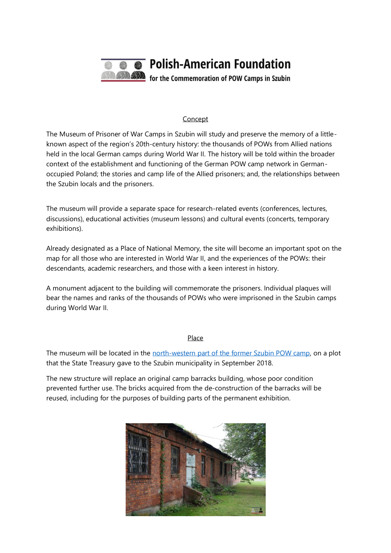

## Concept

The Museum of Prisoner of War Camps in Szubin will study and preserve the memory of a littleknown aspect of the region's 20th-century history: the thousands of POWs from Allied nations held in the local German camps during World War II. The history will be told within the broader context of the establishment and functioning of the German POW camp network in Germanoccupied Poland; the stories and camp life of the Allied prisoners; and, the relationships between the Szubin locals and the prisoners.

The museum will provide a separate space for research-related events (conferences, lectures, discussions), educational activities (museum lessons) and cultural events (concerts, temporary exhibitions).

Already designated as a Place of National Memory, the site will become an important spot on the map for all those who are interested in World War II, and the experiences of the POWs: their descendants, academic researchers, and those with a keen interest in history.

A monument adjacent to the building will commemorate the prisoners. Individual plaques will bear the names and ranks of the thousands of POWs who were imprisoned in the Szubin camps during World War II.

## Place

The museum will be located in the north-western [part of the former Szubin POW camp,](https://www.google.com/maps/place/53%C2%B000) on a plot that the State Treasury gave to the Szubin municipality in September 2018.

The new structure will replace an original camp barracks building, whose poor condition prevented further use. The bricks acquired from the de-construction of the barracks will be reused, including for the purposes of building parts of the permanent exhibition.